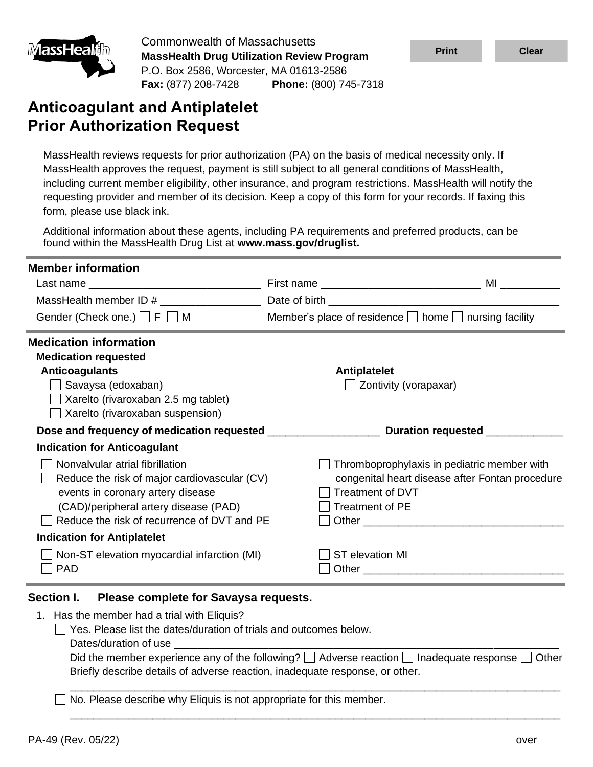

Commonwealth of Massachusetts **MassHealth Drug Utilization Review Program** P.O. Box 2586, Worcester, MA 01613-2586 **Fax:** (877) 208-7428 **Phone:** (800) 745-7318

# **Anticoagulant and Antiplatelet Prior Authorization Request**

MassHealth reviews requests for prior authorization (PA) on the basis of medical necessity only. If MassHealth approves the request, payment is still subject to all general conditions of MassHealth, including current member eligibility, other insurance, and program restrictions. MassHealth will notify the requesting provider and member of its decision. Keep a copy of this form for your records. If faxing this form, please use black ink.

Additional information about these agents, including PA requirements and preferred products, can be found within the MassHealth Drug List at **www.mass.gov/druglist.**

| <b>Member information</b>                    |                                                                                                 |  |  |  |  |
|----------------------------------------------|-------------------------------------------------------------------------------------------------|--|--|--|--|
| Last name                                    |                                                                                                 |  |  |  |  |
|                                              |                                                                                                 |  |  |  |  |
| Gender (Check one.) $\Box$ F $\Box$ M        | Member's place of residence $\Box$ home $\Box$ nursing facility                                 |  |  |  |  |
| <b>Medication information</b>                |                                                                                                 |  |  |  |  |
| <b>Medication requested</b>                  |                                                                                                 |  |  |  |  |
| <b>Anticoagulants</b>                        | <b>Antiplatelet</b>                                                                             |  |  |  |  |
| Savaysa (edoxaban)                           | Zontivity (vorapaxar)                                                                           |  |  |  |  |
| Xarelto (rivaroxaban 2.5 mg tablet)          |                                                                                                 |  |  |  |  |
| $\Box$ Xarelto (rivaroxaban suspension)      |                                                                                                 |  |  |  |  |
|                                              | Dose and frequency of medication requested ______________________ Duration requested __________ |  |  |  |  |
| <b>Indication for Anticoagulant</b>          |                                                                                                 |  |  |  |  |
| Nonvalvular atrial fibrillation              | Thromboprophylaxis in pediatric member with                                                     |  |  |  |  |
| Reduce the risk of major cardiovascular (CV) | congenital heart disease after Fontan procedure                                                 |  |  |  |  |
| events in coronary artery disease            | <b>Treatment of DVT</b>                                                                         |  |  |  |  |
| (CAD)/peripheral artery disease (PAD)        | <b>Treatment of PE</b>                                                                          |  |  |  |  |
| Reduce the risk of recurrence of DVT and PE  |                                                                                                 |  |  |  |  |
|                                              |                                                                                                 |  |  |  |  |
| <b>Indication for Antiplatelet</b>           |                                                                                                 |  |  |  |  |
| Non-ST elevation myocardial infarction (MI)  | <b>ST</b> elevation MI                                                                          |  |  |  |  |

### **Section I. Please complete for Savaysa requests.**

1. Has the member had a trial with Eliquis?

 $\Box$  Yes. Please list the dates/duration of trials and outcomes below.

Dates/duration of use

Did the member experience any of the following?  $\Box$  Adverse reaction  $\Box$  Inadequate response  $\Box$  Other Briefly describe details of adverse reaction, inadequate response, or other.

\_\_\_\_\_\_\_\_\_\_\_\_\_\_\_\_\_\_\_\_\_\_\_\_\_\_\_\_\_\_\_\_\_\_\_\_\_\_\_\_\_\_\_\_\_\_\_\_\_\_\_\_\_\_\_\_\_\_\_\_\_\_\_\_\_\_\_\_\_\_\_\_\_\_\_\_\_\_\_\_\_\_\_

\_\_\_\_\_\_\_\_\_\_\_\_\_\_\_\_\_\_\_\_\_\_\_\_\_\_\_\_\_\_\_\_\_\_\_\_\_\_\_\_\_\_\_\_\_\_\_\_\_\_\_\_\_\_\_\_\_\_\_\_\_\_\_\_\_\_\_\_\_\_\_\_\_\_\_\_\_\_\_\_\_\_\_

No. Please describe why Eliquis is not appropriate for this member.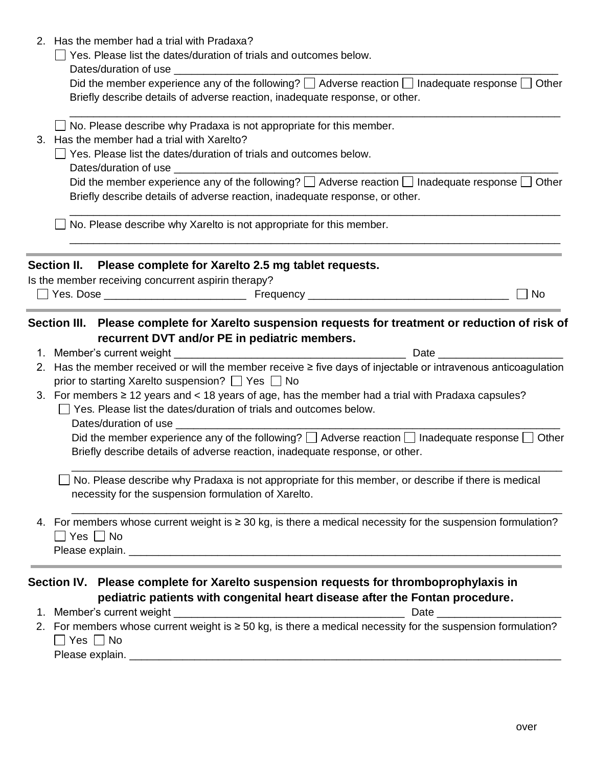| 2. Has the member had a trial with Pradaxa?                                                                                                                                                           |
|-------------------------------------------------------------------------------------------------------------------------------------------------------------------------------------------------------|
| $\Box$ Yes. Please list the dates/duration of trials and outcomes below.                                                                                                                              |
| Did the member experience any of the following? $\Box$ Adverse reaction $\Box$ Inadequate response $\Box$ Other<br>Briefly describe details of adverse reaction, inadequate response, or other.       |
| No. Please describe why Pradaxa is not appropriate for this member.<br>3. Has the member had a trial with Xarelto?                                                                                    |
| Yes. Please list the dates/duration of trials and outcomes below.<br>Dates/duration of use ________                                                                                                   |
| Did the member experience any of the following? $\Box$ Adverse reaction $\Box$ Inadequate response $\Box$ Other<br>Briefly describe details of adverse reaction, inadequate response, or other.       |
| No. Please describe why Xarelto is not appropriate for this member.                                                                                                                                   |
| Section II. Please complete for Xarelto 2.5 mg tablet requests.                                                                                                                                       |
| Is the member receiving concurrent aspirin therapy?                                                                                                                                                   |
| $\Box$ No                                                                                                                                                                                             |
| Section III. Please complete for Xarelto suspension requests for treatment or reduction of risk of<br>recurrent DVT and/or PE in pediatric members.<br><b>Date Date</b>                               |
| 2. Has the member received or will the member receive ≥ five days of injectable or intravenous anticoagulation<br>prior to starting Xarelto suspension? □ Yes □ No                                    |
| 3. For members $\geq$ 12 years and < 18 years of age, has the member had a trial with Pradaxa capsules?<br>Yes. Please list the dates/duration of trials and outcomes below.<br>Dates/duration of use |
| Did the member experience any of the following? $\Box$ Adverse reaction $\Box$ Inadequate response $\Box$ Other<br>Briefly describe details of adverse reaction, inadequate response, or other.       |
| No. Please describe why Pradaxa is not appropriate for this member, or describe if there is medical<br>necessity for the suspension formulation of Xarelto.                                           |
| 4. For members whose current weight is $\geq$ 30 kg, is there a medical necessity for the suspension formulation?<br>$\Box$ Yes $\Box$ No                                                             |
|                                                                                                                                                                                                       |
| Section IV. Please complete for Xarelto suspension requests for thromboprophylaxis in<br>pediatric patients with congenital heart disease after the Fontan procedure.                                 |
|                                                                                                                                                                                                       |
| 2. For members whose current weight is $\geq 50$ kg, is there a medical necessity for the suspension formulation?<br>Yes $\Box$ No                                                                    |

Please explain. \_\_\_\_\_\_\_\_\_\_\_\_\_\_\_\_\_\_\_\_\_\_\_\_\_\_\_\_\_\_\_\_\_\_\_\_\_\_\_\_\_\_\_\_\_\_\_\_\_\_\_\_\_\_\_\_\_\_\_\_\_\_\_\_\_\_\_\_\_\_\_\_\_